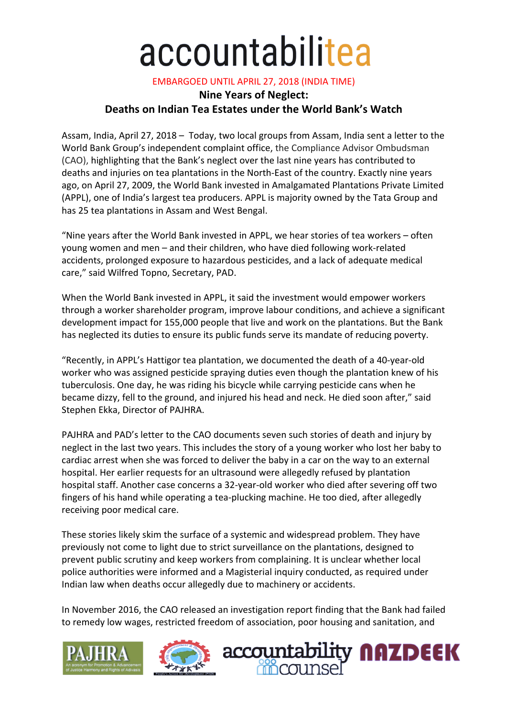## accountabilitea

**EMBARGOED UNTIL APRIL 27, 2018 (INDIA TIME)** 

## **Nine Years of Neglect: Deaths on Indian Tea Estates under the World Bank's Watch**

Assam, India, April 27, 2018 - Today, two local groups from Assam, India sent a letter to the World Bank Group's independent complaint office, the Compliance Advisor Ombudsman (CAO), highlighting that the Bank's neglect over the last nine years has contributed to deaths and injuries on tea plantations in the North-East of the country. Exactly nine years ago, on April 27, 2009, the World Bank invested in Amalgamated Plantations Private Limited (APPL), one of India's largest tea producers. APPL is majority owned by the Tata Group and has 25 tea plantations in Assam and West Bengal.

"Nine years after the World Bank invested in APPL, we hear stories of tea workers  $-$  often young women and men – and their children, who have died following work-related accidents, prolonged exposure to hazardous pesticides, and a lack of adequate medical care," said Wilfred Topno, Secretary, PAD.

When the World Bank invested in APPL, it said the investment would empower workers through a worker shareholder program, improve labour conditions, and achieve a significant development impact for 155,000 people that live and work on the plantations. But the Bank has neglected its duties to ensure its public funds serve its mandate of reducing poverty.

"Recently, in APPL's Hattigor tea plantation, we documented the death of a 40-year-old worker who was assigned pesticide spraying duties even though the plantation knew of his tuberculosis. One day, he was riding his bicycle while carrying pesticide cans when he became dizzy, fell to the ground, and injured his head and neck. He died soon after," said Stephen Ekka, Director of PAJHRA.

PAJHRA and PAD's letter to the CAO documents seven such stories of death and injury by neglect in the last two years. This includes the story of a young worker who lost her baby to cardiac arrest when she was forced to deliver the baby in a car on the way to an external hospital. Her earlier requests for an ultrasound were allegedly refused by plantation hospital staff. Another case concerns a 32-year-old worker who died after severing off two fingers of his hand while operating a tea-plucking machine. He too died, after allegedly receiving poor medical care.

These stories likely skim the surface of a systemic and widespread problem. They have previously not come to light due to strict surveillance on the plantations, designed to prevent public scrutiny and keep workers from complaining. It is unclear whether local police authorities were informed and a Magisterial inquiry conducted, as required under Indian law when deaths occur allegedly due to machinery or accidents.

In November 2016, the CAO released an investigation report finding that the Bank had failed to remedy low wages, restricted freedom of association, poor housing and sanitation, and